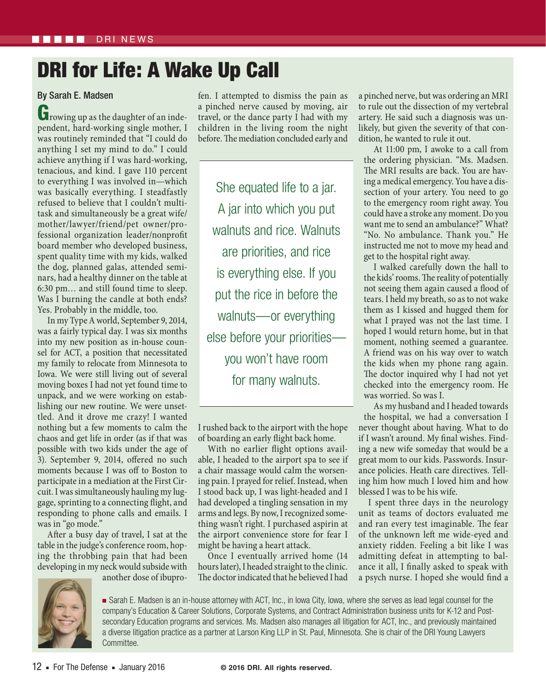## DRI for Life: A Wake Up Call

## By Sarah E. Madsen

Growing up as the daughter of an independent, hard-working single mother, I was routinely reminded that "I could do anything I set my mind to do." I could achieve anything if I was hard-working, tenacious, and kind. I gave 110 percent to everything I was involved in—which was basically everything. I steadfastly refused to believe that I couldn't multitask and simultaneously be a great wife/ mother/lawyer/friend/pet owner/professional organization leader/nonprofit board member who developed business, spent quality time with my kids, walked the dog, planned galas, attended seminars, had a healthy dinner on the table at 6:30 pm… and still found time to sleep. Was I burning the candle at both ends? Yes. Probably in the middle, too.

In my Type A world, September 9, 2014, was a fairly typical day. I was six months into my new position as in-house counsel for ACT, a position that necessitated my family to relocate from Minnesota to Iowa. We were still living out of several moving boxes I had not yet found time to unpack, and we were working on establishing our new routine. We were unsettled. And it drove me crazy! I wanted nothing but a few moments to calm the chaos and get life in order (as if that was possible with two kids under the age of 3). September 9, 2014, offered no such moments because I was off to Boston to participate in a mediation at the First Circuit. I was simultaneously hauling my luggage, sprinting to a connecting flight, and responding to phone calls and emails. I was in "go mode."

After a busy day of travel, I sat at the table in the judge's conference room, hoping the throbbing pain that had been developing in my neck would subside with

another dose of ibupro-

fen. I attempted to dismiss the pain as a pinched nerve caused by moving, air travel, or the dance party I had with my children in the living room the night before. The mediation concluded early and

She equated life to a jar. A jar into which you put walnuts and rice. Walnuts are priorities, and rice is everything else. If you put the rice in before the walnuts—or everything else before your priorities you won't have room for many walnuts.

I rushed back to the airport with the hope of boarding an early flight back home.

With no earlier flight options available, I headed to the airport spa to see if a chair massage would calm the worsening pain. I prayed for relief. Instead, when I stood back up, I was light-headed and I had developed a tingling sensation in my arms and legs. By now, I recognized something wasn't right. I purchased aspirin at the airport convenience store for fear I might be having a heart attack.

Once I eventually arrived home (14 hours later), I headed straight to the clinic. The doctor indicated that he believed I had a pinched nerve, but was ordering an MRI to rule out the dissection of my vertebral artery. He said such a diagnosis was unlikely, but given the severity of that condition, he wanted to rule it out.

At 11:00 pm, I awoke to a call from the ordering physician. "Ms. Madsen. The MRI results are back. You are having a medical emergency. You have a dissection of your artery. You need to go to the emergency room right away. You could have a stroke any moment. Do you want me to send an ambulance?" What? "No. No ambulance. Thank you." He instructed me not to move my head and get to the hospital right away.

I walked carefully down the hall to the kids' rooms. The reality of potentially not seeing them again caused a flood of tears. I held my breath, so as to not wake them as I kissed and hugged them for what I prayed was not the last time. I hoped I would return home, but in that moment, nothing seemed a guarantee. A friend was on his way over to watch the kids when my phone rang again. The doctor inquired why I had not yet checked into the emergency room. He was worried. So was I.

As my husband and I headed towards the hospital, we had a conversation I never thought about having. What to do if I wasn't around. My final wishes. Finding a new wife someday that would be a great mom to our kids. Passwords. Insurance policies. Heath care directives. Telling him how much I loved him and how blessed I was to be his wife.

I spent three days in the neurology unit as teams of doctors evaluated me and ran every test imaginable. The fear of the unknown left me wide-eyed and anxiety ridden. Feeling a bit like I was admitting defeat in attempting to balance it all, I finally asked to speak with a psych nurse. I hoped she would find a



■ Sarah E. Madsen is an in-house attorney with ACT, Inc., in Iowa City, Iowa, where she serves as lead legal counsel for the company's Education & Career Solutions, Corporate Systems, and Contract Administration business units for K-12 and Postsecondary Education programs and services. Ms. Madsen also manages all litigation for ACT, Inc., and previously maintained a diverse litigation practice as a partner at Larson King LLP in St. Paul, Minnesota. She is chair of the DRI Young Lawyers Committee.